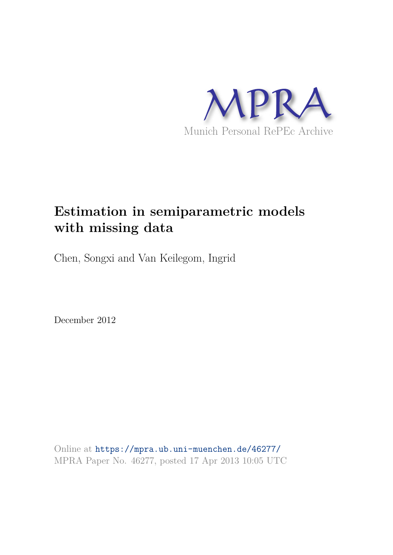

# **Estimation in semiparametric models with missing data**

Chen, Songxi and Van Keilegom, Ingrid

December 2012

Online at https://mpra.ub.uni-muenchen.de/46277/ MPRA Paper No. 46277, posted 17 Apr 2013 10:05 UTC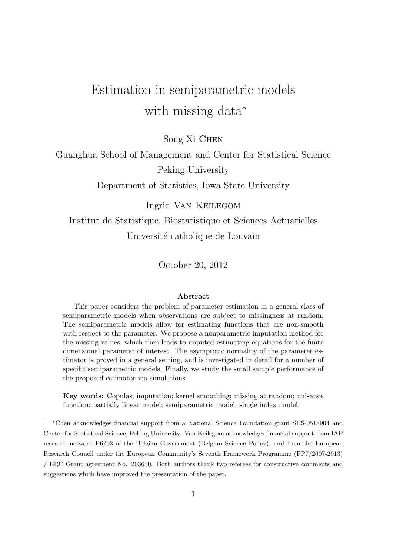# Estimation in semiparametric models with missing data<sup>∗</sup>

Song Xi Chen

Guanghua School of Management and Center for Statistical Science Peking University

Department of Statistics, Iowa State University

Ingrid Van Keilegom

Institut de Statistique, Biostatistique et Sciences Actuarielles Université catholique de Louvain

October 20, 2012

#### Abstract

This paper considers the problem of parameter estimation in a general class of semiparametric models when observations are subject to missingness at random. The semiparametric models allow for estimating functions that are non-smooth with respect to the parameter. We propose a nonparametric imputation method for the missing values, which then leads to imputed estimating equations for the finite dimensional parameter of interest. The asymptotic normality of the parameter estimator is proved in a general setting, and is investigated in detail for a number of specific semiparametric models. Finally, we study the small sample performance of the proposed estimator via simulations.

Key words: Copulas; imputation; kernel smoothing; missing at random; nuisance function; partially linear model; semiparametric model; single index model.

<sup>∗</sup>Chen acknowledges financial support from a National Science Foundation grant SES-0518904 and Center for Statistical Science, Peking University. Van Keilegom acknowledges financial support from IAP research network P6/03 of the Belgian Government (Belgian Science Policy), and from the European Research Council under the European Community's Seventh Framework Programme (FP7/2007-2013) / ERC Grant agreement No. 203650. Both authors thank two referees for constructive comments and suggestions which have improved the presentation of the paper.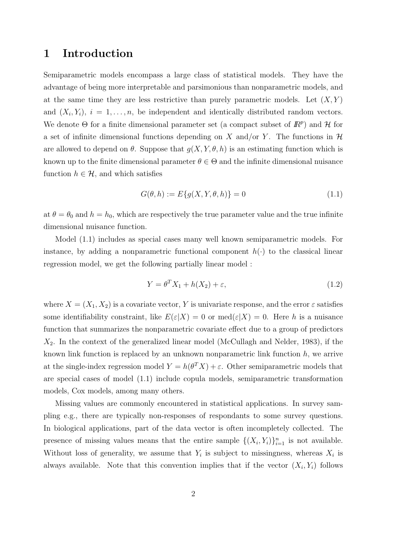### 1 Introduction

Semiparametric models encompass a large class of statistical models. They have the advantage of being more interpretable and parsimonious than nonparametric models, and at the same time they are less restrictive than purely parametric models. Let  $(X, Y)$ and  $(X_i, Y_i)$ ,  $i = 1, \ldots, n$ , be independent and identically distributed random vectors. We denote  $\Theta$  for a finite dimensional parameter set (a compact subset of  $\mathbb{R}^p$ ) and  $\mathcal H$  for a set of infinite dimensional functions depending on X and/or Y. The functions in  $\mathcal H$ are allowed to depend on  $\theta$ . Suppose that  $g(X, Y, \theta, h)$  is an estimating function which is known up to the finite dimensional parameter  $\theta \in \Theta$  and the infinite dimensional nuisance function  $h \in \mathcal{H}$ , and which satisfies

$$
G(\theta, h) := E\{g(X, Y, \theta, h)\} = 0
$$
\n(1.1)

at  $\theta = \theta_0$  and  $h = h_0$ , which are respectively the true parameter value and the true infinite dimensional nuisance function.

Model (1.1) includes as special cases many well known semiparametric models. For instance, by adding a nonparametric functional component  $h(\cdot)$  to the classical linear regression model, we get the following partially linear model :

$$
Y = \theta^T X_1 + h(X_2) + \varepsilon,\tag{1.2}
$$

where  $X = (X_1, X_2)$  is a covariate vector, Y is univariate response, and the error  $\varepsilon$  satisfies some identifiability constraint, like  $E(\varepsilon|X) = 0$  or  $\text{med}(\varepsilon|X) = 0$ . Here h is a nuisance function that summarizes the nonparametric covariate effect due to a group of predictors  $X_2$ . In the context of the generalized linear model (McCullagh and Nelder, 1983), if the known link function is replaced by an unknown nonparametric link function  $h$ , we arrive at the single-index regression model  $Y = h(\theta^T X) + \varepsilon$ . Other semiparametric models that are special cases of model (1.1) include copula models, semiparametric transformation models, Cox models, among many others.

Missing values are commonly encountered in statistical applications. In survey sampling e.g., there are typically non-responses of respondants to some survey questions. In biological applications, part of the data vector is often incompletely collected. The presence of missing values means that the entire sample  $\{(X_i,Y_i)\}_{i=1}^n$  is not available. Without loss of generality, we assume that  $Y_i$  is subject to missingness, whereas  $X_i$  is always available. Note that this convention implies that if the vector  $(X_i, Y_i)$  follows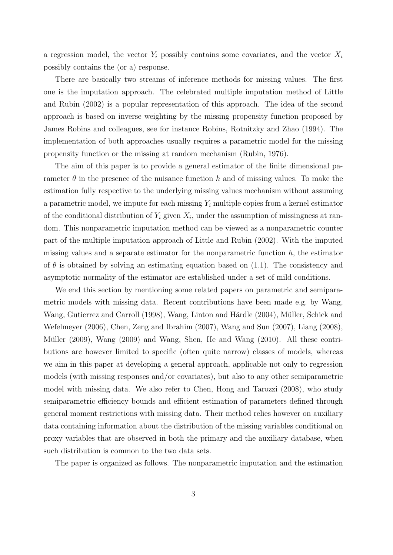a regression model, the vector  $Y_i$  possibly contains some covariates, and the vector  $X_i$ possibly contains the (or a) response.

There are basically two streams of inference methods for missing values. The first one is the imputation approach. The celebrated multiple imputation method of Little and Rubin (2002) is a popular representation of this approach. The idea of the second approach is based on inverse weighting by the missing propensity function proposed by James Robins and colleagues, see for instance Robins, Rotnitzky and Zhao (1994). The implementation of both approaches usually requires a parametric model for the missing propensity function or the missing at random mechanism (Rubin, 1976).

The aim of this paper is to provide a general estimator of the finite dimensional parameter  $\theta$  in the presence of the nuisance function h and of missing values. To make the estimation fully respective to the underlying missing values mechanism without assuming a parametric model, we impute for each missing  $Y_i$  multiple copies from a kernel estimator of the conditional distribution of  $Y_i$  given  $X_i$ , under the assumption of missingness at random. This nonparametric imputation method can be viewed as a nonparametric counter part of the multiple imputation approach of Little and Rubin (2002). With the imputed missing values and a separate estimator for the nonparametric function  $h$ , the estimator of  $\theta$  is obtained by solving an estimating equation based on (1.1). The consistency and asymptotic normality of the estimator are established under a set of mild conditions.

We end this section by mentioning some related papers on parametric and semiparametric models with missing data. Recent contributions have been made e.g. by Wang, Wang, Gutierrez and Carroll (1998), Wang, Linton and Härdle (2004), Müller, Schick and Wefelmeyer (2006), Chen, Zeng and Ibrahim (2007), Wang and Sun (2007), Liang (2008), Müller (2009), Wang (2009) and Wang, Shen, He and Wang (2010). All these contributions are however limited to specific (often quite narrow) classes of models, whereas we aim in this paper at developing a general approach, applicable not only to regression models (with missing responses and/or covariates), but also to any other semiparametric model with missing data. We also refer to Chen, Hong and Tarozzi (2008), who study semiparametric efficiency bounds and efficient estimation of parameters defined through general moment restrictions with missing data. Their method relies however on auxiliary data containing information about the distribution of the missing variables conditional on proxy variables that are observed in both the primary and the auxiliary database, when such distribution is common to the two data sets.

The paper is organized as follows. The nonparametric imputation and the estimation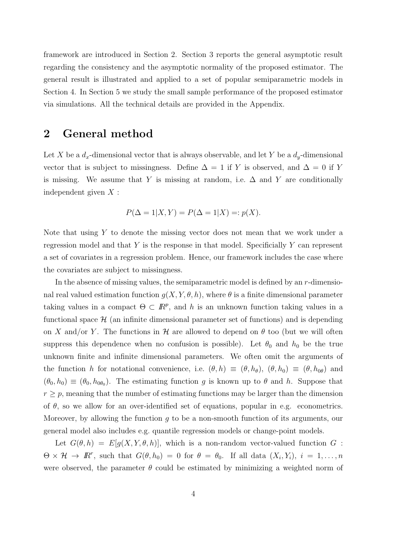framework are introduced in Section 2. Section 3 reports the general asymptotic result regarding the consistency and the asymptotic normality of the proposed estimator. The general result is illustrated and applied to a set of popular semiparametric models in Section 4. In Section 5 we study the small sample performance of the proposed estimator via simulations. All the technical details are provided in the Appendix.

### 2 General method

Let X be a  $d_x$ -dimensional vector that is always observable, and let Y be a  $d_y$ -dimensional vector that is subject to missingness. Define  $\Delta = 1$  if Y is observed, and  $\Delta = 0$  if Y is missing. We assume that Y is missing at random, i.e.  $\Delta$  and Y are conditionally independent given  $X$ :

$$
P(\Delta = 1 | X, Y) = P(\Delta = 1 | X) =: p(X).
$$

Note that using Y to denote the missing vector does not mean that we work under a regression model and that  $Y$  is the response in that model. Specificially  $Y$  can represent a set of covariates in a regression problem. Hence, our framework includes the case where the covariates are subject to missingness.

In the absence of missing values, the semiparametric model is defined by an r-dimensional real valued estimation function  $g(X, Y, \theta, h)$ , where  $\theta$  is a finite dimensional parameter taking values in a compact  $\Theta \subset \mathbb{R}^p$ , and h is an unknown function taking values in a functional space  $\mathcal{H}$  (an infinite dimensional parameter set of functions) and is depending on X and/or Y. The functions in H are allowed to depend on  $\theta$  too (but we will often suppress this dependence when no confusion is possible). Let  $\theta_0$  and  $h_0$  be the true unknown finite and infinite dimensional parameters. We often omit the arguments of the function h for notational convenience, i.e.  $(\theta, h) \equiv (\theta, h_{\theta})$ ,  $(\theta, h_0) \equiv (\theta, h_{0\theta})$  and  $(\theta_0, h_0) \equiv (\theta_0, h_{0\theta_0})$ . The estimating function g is known up to  $\theta$  and h. Suppose that  $r \geq p$ , meaning that the number of estimating functions may be larger than the dimension of  $\theta$ , so we allow for an over-identified set of equations, popular in e.g. econometrics. Moreover, by allowing the function  $g$  to be a non-smooth function of its arguments, our general model also includes e.g. quantile regression models or change-point models.

Let  $G(\theta, h) = E[g(X, Y, \theta, h)],$  which is a non-random vector-valued function G:  $\Theta \times \mathcal{H} \to \mathbb{R}^r$ , such that  $G(\theta, h_0) = 0$  for  $\theta = \theta_0$ . If all data  $(X_i, Y_i)$ ,  $i = 1, ..., n$ were observed, the parameter  $\theta$  could be estimated by minimizing a weighted norm of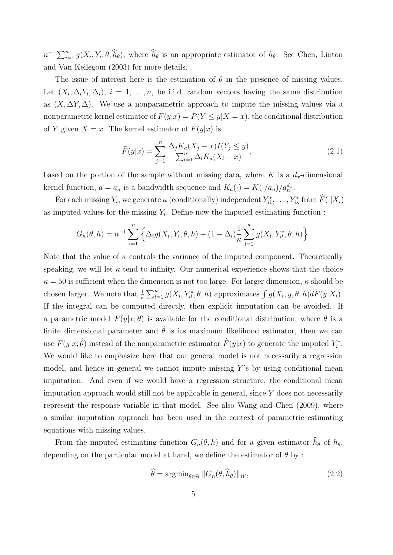$n^{-1}\sum_{i=1}^n g(X_i, Y_i, \theta, \widehat{h}_{\theta}),$  where  $\widehat{h}_{\theta}$  is an appropriate estimator of  $h_{\theta}$ . See Chen, Linton and Van Keilegom (2003) for more details.

The issue of interest here is the estimation of  $\theta$  in the presence of missing values. Let  $(X_i, \Delta_i Y_i, \Delta_i)$ ,  $i = 1, \ldots, n$ , be i.i.d. random vectors having the same distribution as  $(X, \Delta Y, \Delta)$ . We use a nonparametric approach to impute the missing values via a nonparametric kernel estimator of  $F(y|x) = P(Y \le y|X = x)$ , the conditional distribution of Y given  $X = x$ . The kernel estimator of  $F(y|x)$  is

$$
\widehat{F}(y|x) = \sum_{j=1}^{n} \frac{\Delta_j K_a(X_j - x)I(Y_j \le y)}{\sum_{l=1}^{n} \Delta_l K_a(X_l - x)},
$$
\n(2.1)

based on the portion of the sample without missing data, where K is a  $d_x$ -dimensional kernel function,  $a = a_n$  is a bandwidth sequence and  $K_a(\cdot) = K(\cdot/a_n)/a_n^{d_x}$ .

For each missing  $Y_i$ , we generate  $\kappa$  (conditionally) independent  $Y_{i1}^*, \ldots, Y_{i\kappa}^*$  from  $F(\cdot | X_i)$ as imputed values for the missing  $Y_i$ . Define now the imputed estimating function :

$$
G_n(\theta, h) = n^{-1} \sum_{i=1}^n \left\{ \Delta_i g(X_i, Y_i, \theta, h) + (1 - \Delta_i) \frac{1}{\kappa} \sum_{l=1}^\kappa g(X_i, Y_{il}^*, \theta, h) \right\}.
$$

Note that the value of  $\kappa$  controls the variance of the imputed component. Theoretically speaking, we will let  $\kappa$  tend to infinity. Our numerical experience shows that the choice  $\kappa = 50$  is sufficient when the dimension is not too large. For larger dimension,  $\kappa$  should be chosen larger. We note that  $\frac{1}{\kappa} \sum_{l=1}^{\kappa} g(X_i, Y_{il}^*, \theta, h)$  approximates  $\int g(X_i, y, \theta, h) d\hat{F}(y|X_i)$ . If the integral can be computed directly, then explicit imputation can be avoided. If a parametric model  $F(y|x; \theta)$  is available for the conditional distribution, where  $\theta$  is a finite dimensional parameter and  $\hat{\theta}$  is its maximum likelihood estimator, then we can use  $F(y|x; \hat{\theta})$  instead of the nonparametric estimator  $\hat{F}(y|x)$  to generate the imputed  $Y_i^*$ . We would like to emphasize here that our general model is not necessarily a regression model, and hence in general we cannot impute missing  $Y$ 's by using conditional mean imputation. And even if we would have a regression structure, the conditional mean imputation approach would still not be applicable in general, since  $Y$  does not necessarily represent the response variable in that model. See also Wang and Chen (2009), where a similar imputation approach has been used in the context of parametric estimating equations with missing values.

From the imputed estimating function  $G_n(\theta, h)$  and for a given estimator  $\widehat{h}_{\theta}$  of  $h_{\theta}$ , depending on the particular model at hand, we define the estimator of  $\theta$  by:

$$
\widehat{\theta} = \operatorname{argmin}_{\theta \in \Theta} \|G_n(\theta, \widehat{h}_{\theta})\|_W, \tag{2.2}
$$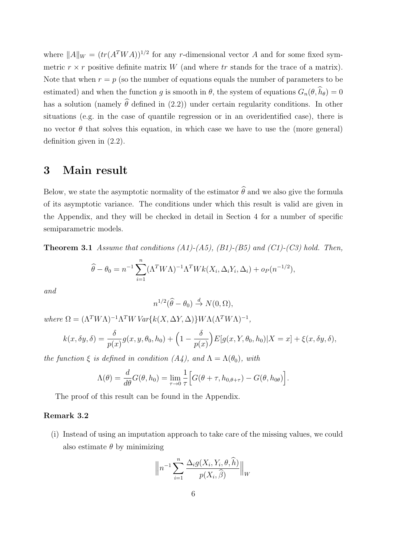where  $||A||_W = (tr(A^TWA))^{1/2}$  for any r-dimensional vector A and for some fixed symmetric  $r \times r$  positive definite matrix W (and where tr stands for the trace of a matrix). Note that when  $r = p$  (so the number of equations equals the number of parameters to be estimated) and when the function g is smooth in  $\theta$ , the system of equations  $G_n(\theta, \hat{h}_{\theta}) = 0$ has a solution (namely  $\hat{\theta}$  defined in (2.2)) under certain regularity conditions. In other situations (e.g. in the case of quantile regression or in an overidentified case), there is no vector  $\theta$  that solves this equation, in which case we have to use the (more general) definition given in (2.2).

## 3 Main result

Below, we state the asymptotic normality of the estimator  $\hat{\theta}$  and we also give the formula of its asymptotic variance. The conditions under which this result is valid are given in the Appendix, and they will be checked in detail in Section 4 for a number of specific semiparametric models.

**Theorem 3.1** Assume that conditions  $(A1)-(A5)$ ,  $(B1)-(B5)$  and  $(C1)-(C3)$  hold. Then,

$$
\widehat{\theta} - \theta_0 = n^{-1} \sum_{i=1}^n (\Lambda^T W \Lambda)^{-1} \Lambda^T W k(X_i, \Delta_i Y_i, \Delta_i) + o_P(n^{-1/2}),
$$

and

$$
n^{1/2}(\widehat{\theta}-\theta_0) \stackrel{d}{\to} N(0,\Omega),
$$

where  $\Omega = (\Lambda^T W \Lambda)^{-1} \Lambda^T W \text{Var}\{k(X, \Delta Y, \Delta)\} W \Lambda (\Lambda^T W \Lambda)^{-1},$ 

$$
k(x, \delta y, \delta) = \frac{\delta}{p(x)} g(x, y, \theta_0, h_0) + \left(1 - \frac{\delta}{p(x)}\right) E[g(x, Y, \theta_0, h_0)|X = x] + \xi(x, \delta y, \delta),
$$

the function  $\xi$  is defined in condition  $(A_4)$ , and  $\Lambda = \Lambda(\theta_0)$ , with

$$
\Lambda(\theta) = \frac{d}{d\theta}G(\theta, h_0) = \lim_{\tau \to 0} \frac{1}{\tau} \Big[ G(\theta + \tau, h_{0, \theta + \tau}) - G(\theta, h_{0\theta}) \Big].
$$

The proof of this result can be found in the Appendix.

#### Remark 3.2

(i) Instead of using an imputation approach to take care of the missing values, we could also estimate  $\theta$  by minimizing

$$
\left\| n^{-1} \sum_{i=1}^{n} \frac{\Delta_i g(X_i, Y_i, \theta, \widehat{h})}{p(X_i, \widehat{\beta})} \right\|_{W}
$$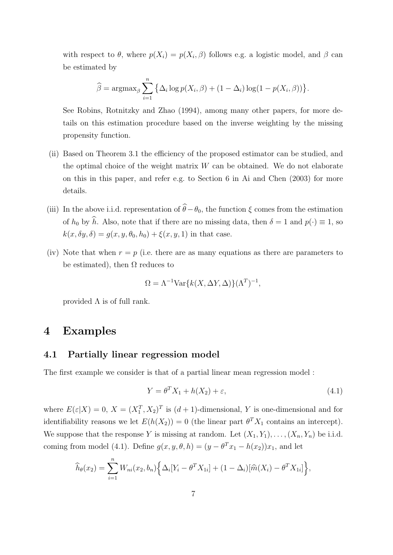with respect to  $\theta$ , where  $p(X_i) = p(X_i, \beta)$  follows e.g. a logistic model, and  $\beta$  can be estimated by

$$
\widehat{\beta} = \operatorname{argmax}_{\beta} \sum_{i=1}^{n} \left\{ \Delta_i \log p(X_i, \beta) + (1 - \Delta_i) \log(1 - p(X_i, \beta)) \right\}.
$$

See Robins, Rotnitzky and Zhao (1994), among many other papers, for more details on this estimation procedure based on the inverse weighting by the missing propensity function.

- (ii) Based on Theorem 3.1 the efficiency of the proposed estimator can be studied, and the optimal choice of the weight matrix  $W$  can be obtained. We do not elaborate on this in this paper, and refer e.g. to Section 6 in Ai and Chen (2003) for more details.
- (iii) In the above i.i.d. representation of  $\hat{\theta}-\theta_0$ , the function  $\xi$  comes from the estimation of  $h_0$  by  $\hat{h}$ . Also, note that if there are no missing data, then  $\delta = 1$  and  $p(\cdot) \equiv 1$ , so  $k(x, \delta y, \delta) = q(x, y, \theta_0, h_0) + \xi(x, y, 1)$  in that case.
- (iv) Note that when  $r = p$  (i.e. there are as many equations as there are parameters to be estimated), then  $\Omega$  reduces to

$$
\Omega = \Lambda^{-1} \text{Var}\{k(X, \Delta Y, \Delta)\} (\Lambda^T)^{-1},
$$

provided  $\Lambda$  is of full rank.

## 4 Examples

#### 4.1 Partially linear regression model

The first example we consider is that of a partial linear mean regression model :

$$
Y = \theta^T X_1 + h(X_2) + \varepsilon,\tag{4.1}
$$

where  $E(\varepsilon|X) = 0$ ,  $X = (X_1^T, X_2)^T$  is  $(d+1)$ -dimensional, Y is one-dimensional and for identifiability reasons we let  $E(h(X_2)) = 0$  (the linear part  $\theta^T X_1$  contains an intercept). We suppose that the response Y is missing at random. Let  $(X_1, Y_1), \ldots, (X_n, Y_n)$  be i.i.d. coming from model (4.1). Define  $g(x, y, \theta, h) = (y - \theta^{T} x_{1} - h(x_{2}))x_{1}$ , and let

$$
\widehat{h}_{\theta}(x_2) = \sum_{i=1}^{n} W_{ni}(x_2, b_n) \Big\{ \Delta_i [Y_i - \theta^T X_{1i}] + (1 - \Delta_i) [\widehat{m}(X_i) - \theta^T X_{1i}] \Big\},\,
$$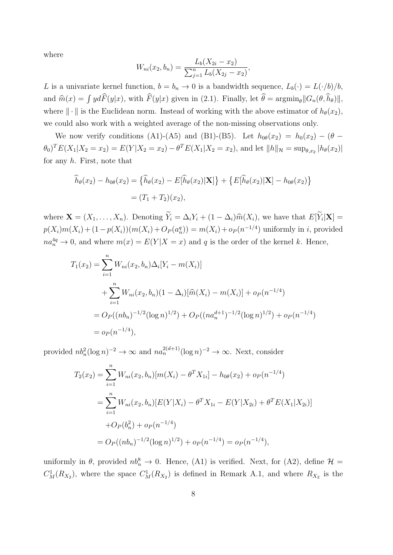where

$$
W_{ni}(x_2, b_n) = \frac{L_b(X_{2i} - x_2)}{\sum_{j=1}^n L_b(X_{2j} - x_2)},
$$

L is a univariate kernel function,  $b = b_n \to 0$  is a bandwidth sequence,  $L_b(\cdot) = L(\cdot/b)/b$ , and  $\hat{m}(x) = \int y d\hat{F}(y|x)$ , with  $\hat{F}(y|x)$  given in (2.1). Finally, let  $\hat{\theta} = \operatorname{argmin}_{\theta} ||G_n(\theta, \hat{h}_{\theta})||$ , where  $\|\cdot\|$  is the Euclidean norm. Instead of working with the above estimator of  $h_{\theta}(x_2)$ , we could also work with a weighted average of the non-missing observations only.

We now verify conditions (A1)-(A5) and (B1)-(B5). Let  $h_{0\theta}(x_2) = h_0(x_2) - (\theta (\theta_0)^T E(X_1 | X_2 = x_2) = E(Y | X_2 = x_2) - \theta^T E(X_1 | X_2 = x_2)$ , and let  $||h||_{\mathcal{H}} = \sup_{\theta, x_2} |h_{\theta}(x_2)|$ for any  $h$ . First, note that

$$
\widehat{h}_{\theta}(x_2) - h_{0\theta}(x_2) = \{ \widehat{h}_{\theta}(x_2) - E[\widehat{h}_{\theta}(x_2)|\mathbf{X}] \} + \{ E[\widehat{h}_{\theta}(x_2)|\mathbf{X}] - h_{0\theta}(x_2) \}
$$

$$
= (T_1 + T_2)(x_2),
$$

where  $\mathbf{X} = (X_1, \ldots, X_n)$ . Denoting  $Y_i = \Delta_i Y_i + (1 - \Delta_i) \widehat{m}(X_i)$ , we have that  $E[Y_i|\mathbf{X}] =$  $p(X_i)m(X_i) + (1 - p(X_i))(m(X_i) + O_P(a_n^q)) = m(X_i) + o_P(n^{-1/4})$  uniformly in *i*, provided  $na_n^{4q} \to 0$ , and where  $m(x) = E(Y|X=x)$  and q is the order of the kernel k. Hence,

$$
T_1(x_2) = \sum_{i=1}^n W_{ni}(x_2, b_n) \Delta_i [Y_i - m(X_i)]
$$
  
+ 
$$
\sum_{i=1}^n W_{ni}(x_2, b_n) (1 - \Delta_i) [\widehat{m}(X_i) - m(X_i)] + o_P(n^{-1/4})
$$
  
= 
$$
O_P((nb_n)^{-1/2} (\log n)^{1/2}) + O_P((na_n^{d+1})^{-1/2} (\log n)^{1/2}) + o_P(n^{-1/4})
$$
  
= 
$$
o_P(n^{-1/4}),
$$

provided  $nb_n^2(\log n)^{-2} \to \infty$  and  $na_n^{2(d+1)}(\log n)^{-2} \to \infty$ . Next, consider

$$
T_2(x_2) = \sum_{i=1}^n W_{ni}(x_2, b_n)[m(X_i) - \theta^T X_{1i}] - h_{0\theta}(x_2) + o_P(n^{-1/4})
$$
  
= 
$$
\sum_{i=1}^n W_{ni}(x_2, b_n)[E(Y|X_i) - \theta^T X_{1i} - E(Y|X_{2i}) + \theta^T E(X_1|X_{2i})]
$$
  
+ 
$$
O_P(b_n^2) + o_P(n^{-1/4})
$$
  
= 
$$
O_P((nb_n)^{-1/2}(\log n)^{1/2}) + o_P(n^{-1/4}) = o_P(n^{-1/4}),
$$

uniformly in  $\theta$ , provided  $nb_n^8 \to 0$ . Hence, (A1) is verified. Next, for (A2), define  $\mathcal{H} =$  $C_M^1(R_{X_2})$ , where the space  $C_M^1(R_{X_2})$  is defined in Remark A.1, and where  $R_{X_2}$  is the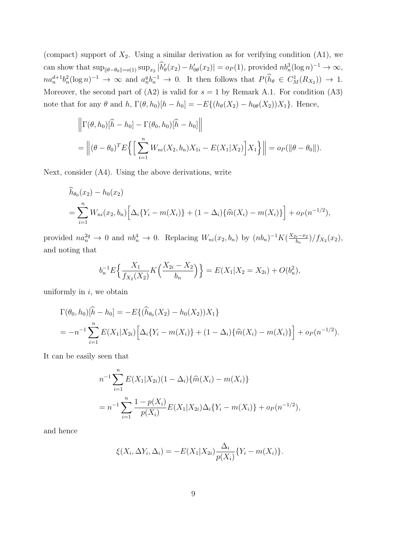(compact) support of  $X_2$ . Using a similar derivation as for verifying condition  $(A1)$ , we can show that  $\sup_{\|\theta-\theta_0\|=o(1)} \sup_{x_2} |h'_\theta(x_2)-h'_{0\theta}(x_2)|=o_P(1)$ , provided  $nb_n^3(\log n)^{-1} \to \infty$ ,  $na_n^{d+1}b_n^2(\log n)^{-1} \to \infty$  and  $a_n^q b_n^{-1} \to 0$ . It then follows that  $P(h_\theta \in C^1_M(R_{X_2})) \to 1$ . Moreover, the second part of  $(A2)$  is valid for  $s = 1$  by Remark A.1. For condition  $(A3)$ note that for any  $\theta$  and  $h$ ,  $\Gamma(\theta, h_0)[h - h_0] = -E\{(h_\theta(X_2) - h_{0\theta}(X_2))X_1\}$ . Hence,

$$
\left\| \Gamma(\theta, h_0) [\hat{h} - h_0] - \Gamma(\theta_0, h_0) [\hat{h} - h_0] \right\|
$$
  
= 
$$
\left\| (\theta - \theta_0)^T E \left\{ \left[ \sum_{i=1}^n W_{ni}(X_2, b_n) X_{1i} - E(X_1 | X_2) \right] X_1 \right\} \right\| = o_P(\|\theta - \theta_0\|).
$$

Next, consider (A4). Using the above derivations, write

$$
\widehat{h}_{\theta_0}(x_2) - h_0(x_2)
$$
\n
$$
= \sum_{i=1}^n W_{ni}(x_2, b_n) \left[ \Delta_i \{ Y_i - m(X_i) \} + (1 - \Delta_i) \{ \widehat{m}(X_i) - m(X_i) \} \right] + o_P(n^{-1/2}),
$$

provided  $na_n^{2q} \to 0$  and  $nb_n^4 \to 0$ . Replacing  $W_{ni}(x_2, b_n)$  by  $(nb_n)^{-1}K(\frac{X_{2i}-x_2}{b_n})$  $\frac{b_n-x_2}{b_n}$ )/ $f_{X_2}(x_2)$ , and noting that

$$
b_n^{-1} E\left\{\frac{X_1}{f_{X_2}(X_2)} K\left(\frac{X_{2i} - X_2}{b_n}\right)\right\} = E(X_1 | X_2 = X_{2i}) + O(b_n^2),
$$

uniformly in  $i$ , we obtain

$$
\Gamma(\theta_0, h_0)[\hat{h} - h_0] = -E\{(\hat{h}_{\theta_0}(X_2) - h_0(X_2))X_1\}
$$
  
=  $-n^{-1}\sum_{i=1}^n E(X_1|X_{2i}) \Big[\Delta_i \{Y_i - m(X_i)\} + (1 - \Delta_i)\{\hat{m}(X_i) - m(X_i)\}\Big] + o_P(n^{-1/2}).$ 

It can be easily seen that

$$
n^{-1} \sum_{i=1}^{n} E(X_1|X_{2i})(1 - \Delta_i) \{\widehat{m}(X_i) - m(X_i)\}
$$
  
= 
$$
n^{-1} \sum_{i=1}^{n} \frac{1 - p(X_i)}{p(X_i)} E(X_1|X_{2i}) \Delta_i \{Y_i - m(X_i)\} + o_P(n^{-1/2}),
$$

and hence

$$
\xi(X_i, \Delta Y_i, \Delta_i) = -E(X_1 | X_{2i}) \frac{\Delta_i}{p(X_i)} \{Y_i - m(X_i)\}.
$$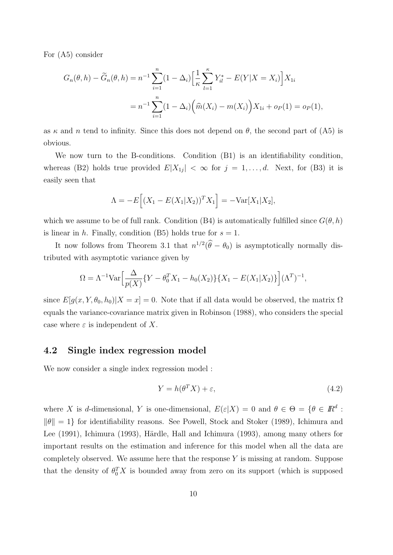For (A5) consider

$$
G_n(\theta, h) - \widetilde{G}_n(\theta, h) = n^{-1} \sum_{i=1}^n (1 - \Delta_i) \left[ \frac{1}{\kappa} \sum_{l=1}^\kappa Y_{il}^* - E(Y|X = X_i) \right] X_{1i}
$$
  
= 
$$
n^{-1} \sum_{i=1}^n (1 - \Delta_i) \left( \widehat{m}(X_i) - m(X_i) \right) X_{1i} + o_P(1) = o_P(1),
$$

as  $\kappa$  and n tend to infinity. Since this does not depend on  $\theta$ , the second part of (A5) is obvious.

We now turn to the B-conditions. Condition (B1) is an identifiability condition, whereas (B2) holds true provided  $E|X_{1j}| < \infty$  for  $j = 1, \ldots, d$ . Next, for (B3) it is easily seen that

$$
\Lambda = -E[(X_1 - E(X_1|X_2))^T X_1] = -\text{Var}[X_1|X_2],
$$

which we assume to be of full rank. Condition (B4) is automatically fulfilled since  $G(\theta, h)$ is linear in h. Finally, condition (B5) holds true for  $s = 1$ .

It now follows from Theorem 3.1 that  $n^{1/2}(\theta - \theta_0)$  is asymptotically normally distributed with asymptotic variance given by

$$
\Omega = \Lambda^{-1} \text{Var} \Big[ \frac{\Delta}{p(X)} \{ Y - \theta_0^T X_1 - h_0(X_2) \} \{ X_1 - E(X_1 | X_2) \} \Big] (\Lambda^T)^{-1},
$$

since  $E[g(x, Y, \theta_0, h_0)|X=x]=0$ . Note that if all data would be observed, the matrix  $\Omega$ equals the variance-covariance matrix given in Robinson (1988), who considers the special case where  $\varepsilon$  is independent of X.

#### 4.2 Single index regression model

We now consider a single index regression model :

$$
Y = h(\theta^T X) + \varepsilon,\tag{4.2}
$$

where X is d-dimensional, Y is one-dimensional,  $E(\varepsilon|X) = 0$  and  $\theta \in \Theta = {\theta \in \mathbb{R}^d :$  $\|\theta\| = 1$  for identifiability reasons. See Powell, Stock and Stoker (1989), Ichimura and Lee (1991), Ichimura (1993), Härdle, Hall and Ichimura (1993), among many others for important results on the estimation and inference for this model when all the data are completely observed. We assume here that the response  $Y$  is missing at random. Suppose that the density of  $\theta_0^T X$  is bounded away from zero on its support (which is supposed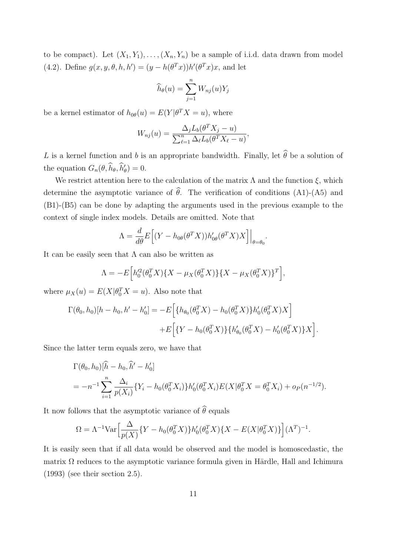to be compact). Let  $(X_1, Y_1), \ldots, (X_n, Y_n)$  be a sample of i.i.d. data drawn from model (4.2). Define  $g(x, y, \theta, h, h') = (y - h(\theta^T x))h'(\theta^T x)x$ , and let

$$
\widehat{h}_{\theta}(u) = \sum_{j=1}^{n} W_{nj}(u) Y_j
$$

be a kernel estimator of  $h_{0\theta}(u) = E(Y|\theta^T X = u)$ , where

$$
W_{nj}(u) = \frac{\Delta_j L_b(\theta^T X_j - u)}{\sum_{\ell=1}^n \Delta_\ell L_b(\theta^T X_\ell - u)},
$$

L is a kernel function and b is an appropriate bandwidth. Finally, let  $\widehat{\theta}$  be a solution of the equation  $G_n(\theta, \hat{h}_{\theta}, \hat{h}'_{\theta}) = 0.$ 

We restrict attention here to the calculation of the matrix  $\Lambda$  and the function  $\xi$ , which determine the asymptotic variance of  $\hat{\theta}$ . The verification of conditions (A1)-(A5) and (B1)-(B5) can be done by adapting the arguments used in the previous example to the context of single index models. Details are omitted. Note that

$$
\Lambda = \frac{d}{d\theta} E\Big[ (Y - h_{0\theta}(\theta^T X)) h'_{0\theta}(\theta^T X) X \Big] \Big|_{\theta = \theta_0}.
$$

It can be easily seen that  $\Lambda$  can also be written as

$$
\Lambda = -E\Big[h_0'^2(\theta_0^T X)\{X - \mu_X(\theta_0^T X)\}\{X - \mu_X(\theta_0^T X)\}^T\Big],
$$

where  $\mu_X(u) = E(X|\theta_0^T X = u)$ . Also note that

$$
\Gamma(\theta_0, h_0)[h - h_0, h' - h'_0] = -E\left[\{h_{\theta_0}(\theta_0^T X) - h_0(\theta_0^T X)\}h'_0(\theta_0^T X)X\right] \n+ E\left[\{Y - h_0(\theta_0^T X)\} \{h'_{\theta_0}(\theta_0^T X) - h'_0(\theta_0^T X)\}X\right].
$$

Since the latter term equals zero, we have that

$$
\Gamma(\theta_0, h_0)[\hat{h} - h_0, \hat{h}' - h'_0]
$$
  
=  $-n^{-1} \sum_{i=1}^n \frac{\Delta_i}{p(X_i)} \{Y_i - h_0(\theta_0^T X_i)\} h'_0(\theta_0^T X_i) E(X | \theta_0^T X = \theta_0^T X_i) + o_P(n^{-1/2}).$ 

It now follows that the asymptotic variance of  $\widehat{\theta}$  equals

$$
\Omega = \Lambda^{-1} \text{Var} \Big[ \frac{\Delta}{p(X)} \{ Y - h_0(\theta_0^T X) \} h_0'(\theta_0^T X) \{ X - E(X | \theta_0^T X) \} \Big] (\Lambda^T)^{-1}.
$$

It is easily seen that if all data would be observed and the model is homoscedastic, the matrix  $\Omega$  reduces to the asymptotic variance formula given in Härdle, Hall and Ichimura (1993) (see their section 2.5).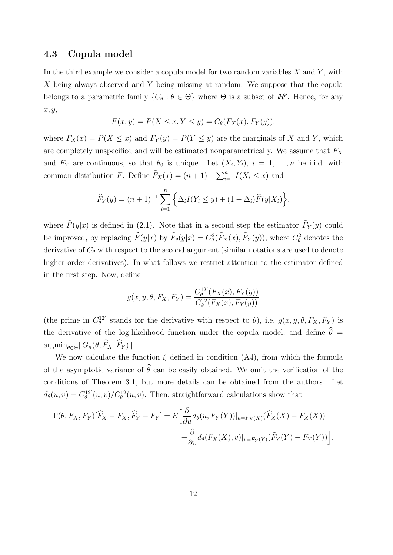#### 4.3 Copula model

In the third example we consider a copula model for two random variables  $X$  and  $Y$ , with X being always observed and Y being missing at random. We suppose that the copula belongs to a parametric family  $\{C_{\theta} : \theta \in \Theta\}$  where  $\Theta$  is a subset of  $\mathbb{R}^{p}$ . Hence, for any  $x, y,$ 

$$
F(x,y) = P(X \le x, Y \le y) = C_{\theta}(F_X(x), F_Y(y)),
$$

where  $F_X(x) = P(X \le x)$  and  $F_Y(y) = P(Y \le y)$  are the marginals of X and Y, which are completely unspecified and will be estimated nonparametrically. We assume that  $F_X$ and  $F_Y$  are continuous, so that  $\theta_0$  is unique. Let  $(X_i, Y_i)$ ,  $i = 1, \ldots, n$  be i.i.d. with common distribution F. Define  $\widehat{F}_X(x) = (n+1)^{-1} \sum_{i=1}^n I(X_i \leq x)$  and

$$
\widehat{F}_Y(y) = (n+1)^{-1} \sum_{i=1}^n \left\{ \Delta_i I(Y_i \le y) + (1 - \Delta_i) \widehat{F}(y|X_i) \right\},\,
$$

where  $\widehat{F}(y|x)$  is defined in (2.1). Note that in a second step the estimator  $\widehat{F}_Y(y)$  could be improved, by replacing  $\hat{F}(y|x)$  by  $\hat{F}_{\theta}(y|x) = C_{\theta}^{2}(\hat{F}_{X}(x), \hat{F}_{Y}(y))$ , where  $C_{\theta}^{2}$  denotes the derivative of  $C_{\theta}$  with respect to the second argument (similar notations are used to denote higher order derivatives). In what follows we restrict attention to the estimator defined in the first step. Now, define

$$
g(x, y, \theta, F_X, F_Y) = \frac{C_{\theta}^{12'}(F_X(x), F_Y(y))}{C_{\theta}^{12}(F_X(x), F_Y(y))}
$$

(the prime in  $C_{\theta}^{12'}$  stands for the derivative with respect to  $\theta$ ), i.e.  $g(x, y, \theta, F_X, F_Y)$  is the derivative of the log-likelihood function under the copula model, and define  $\hat{\theta} =$  $\arg\min_{\theta \in \Theta} ||G_n(\theta, \widehat{F}_X, \widehat{F}_Y) ||.$ 

We now calculate the function  $\xi$  defined in condition (A4), from which the formula of the asymptotic variance of  $\widehat{\theta}$  can be easily obtained. We omit the verification of the conditions of Theorem 3.1, but more details can be obtained from the authors. Let  $d_{\theta}(u, v) = C_{\theta}^{12'}(u, v) / C_{\theta}^{12}(u, v)$ . Then, straightforward calculations show that

$$
\Gamma(\theta, F_X, F_Y)[\widehat{F}_X - F_X, \widehat{F}_Y - F_Y] = E\Big[\frac{\partial}{\partial u}d_{\theta}(u, F_Y(Y))|_{u = F_X(X)}(\widehat{F}_X(X) - F_X(X)) + \frac{\partial}{\partial v}d_{\theta}(F_X(X), v)|_{v = F_Y(Y)}(\widehat{F}_Y(Y) - F_Y(Y))\Big].
$$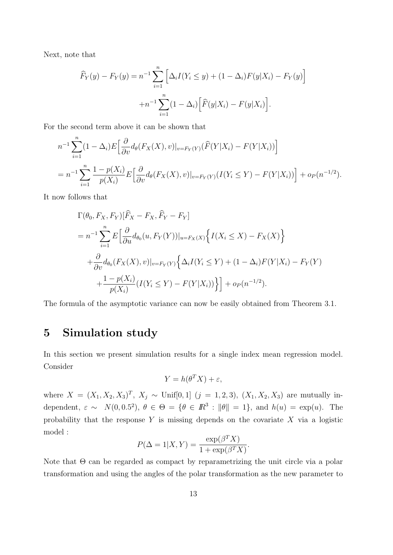Next, note that

$$
\widehat{F}_Y(y) - F_Y(y) = n^{-1} \sum_{i=1}^n \left[ \Delta_i I(Y_i \le y) + (1 - \Delta_i) F(y | X_i) - F_Y(y) \right]
$$

$$
+ n^{-1} \sum_{i=1}^n (1 - \Delta_i) \left[ \widehat{F}(y | X_i) - F(y | X_i) \right].
$$

For the second term above it can be shown that

$$
n^{-1} \sum_{i=1}^{n} (1 - \Delta_i) E\Big[\frac{\partial}{\partial v} d_{\theta}(F_X(X), v)|_{v = F_Y(Y)} (\widehat{F}(Y|X_i) - F(Y|X_i)) \Big]
$$
  
= 
$$
n^{-1} \sum_{i=1}^{n} \frac{1 - p(X_i)}{p(X_i)} E\Big[\frac{\partial}{\partial v} d_{\theta}(F_X(X), v)|_{v = F_Y(Y)} (I(Y_i \le Y) - F(Y|X_i)) \Big] + o_P(n^{-1/2}).
$$

It now follows that

$$
\Gamma(\theta_0, F_X, F_Y)[\widehat{F}_X - F_X, \widehat{F}_Y - F_Y]
$$
  
=  $n^{-1} \sum_{i=1}^n E\Big[\frac{\partial}{\partial u} d_{\theta_0}(u, F_Y(Y))|_{u = F_X(X)} \Big\{ I(X_i \le X) - F_X(X) \Big\}$   
+  $\frac{\partial}{\partial v} d_{\theta_0}(F_X(X), v)|_{v = F_Y(Y)} \Big\{ \Delta_i I(Y_i \le Y) + (1 - \Delta_i) F(Y|X_i) - F_Y(Y) + \frac{1 - p(X_i)}{p(X_i)} (I(Y_i \le Y) - F(Y|X_i)) \Big\} \Big\} + o_P(n^{-1/2}).$ 

The formula of the asymptotic variance can now be easily obtained from Theorem 3.1.

## 5 Simulation study

In this section we present simulation results for a single index mean regression model. Consider

$$
Y = h(\theta^T X) + \varepsilon,
$$

where  $X = (X_1, X_2, X_3)^T$ ,  $X_j \sim$  Unif[0, 1]  $(j = 1, 2, 3)$ ,  $(X_1, X_2, X_3)$  are mutually independent,  $\varepsilon \sim N(0, 0.5^2)$ ,  $\theta \in \Theta = {\theta \in \mathbb{R}^3 : ||\theta|| = 1}$ , and  $h(u) = \exp(u)$ . The probability that the response  $Y$  is missing depends on the covariate  $X$  via a logistic model :

$$
P(\Delta = 1 | X, Y) = \frac{\exp(\beta^T X)}{1 + \exp(\beta^T X)}.
$$

Note that  $\Theta$  can be regarded as compact by reparametrizing the unit circle via a polar transformation and using the angles of the polar transformation as the new parameter to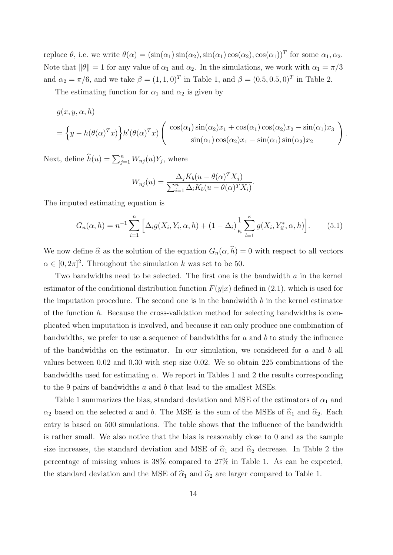replace  $\theta$ , i.e. we write  $\theta(\alpha) = (\sin(\alpha_1)\sin(\alpha_2), \sin(\alpha_1)\cos(\alpha_2), \cos(\alpha_1))^T$  for some  $\alpha_1, \alpha_2$ . Note that  $\|\theta\| = 1$  for any value of  $\alpha_1$  and  $\alpha_2$ . In the simulations, we work with  $\alpha_1 = \pi/3$ and  $\alpha_2 = \pi/6$ , and we take  $\beta = (1, 1, 0)^T$  in Table 1, and  $\beta = (0.5, 0.5, 0)^T$  in Table 2.

The estimating function for  $\alpha_1$  and  $\alpha_2$  is given by

$$
g(x, y, \alpha, h)
$$
  
=  $\left\{y - h(\theta(\alpha)^{T}x)\right\}h'(\theta(\alpha)^{T}x)\left(\begin{array}{c} \cos(\alpha_1)\sin(\alpha_2)x_1 + \cos(\alpha_1)\cos(\alpha_2)x_2 - \sin(\alpha_1)x_3\\ \sin(\alpha_1)\cos(\alpha_2)x_1 - \sin(\alpha_1)\sin(\alpha_2)x_2 \end{array}\right).$ 

Next, define  $\widehat{h}(u) = \sum_{j=1}^{n} W_{nj}(u) Y_j$ , where

$$
W_{nj}(u) = \frac{\Delta_j K_b(u - \theta(\alpha)^T X_j)}{\sum_{i=1}^n \Delta_i K_b(u - \theta(\alpha)^T X_i)}.
$$

The imputed estimating equation is

$$
G_n(\alpha, h) = n^{-1} \sum_{i=1}^n \left[ \Delta_i g(X_i, Y_i, \alpha, h) + (1 - \Delta_i) \frac{1}{\kappa} \sum_{l=1}^\kappa g(X_i, Y_{il}^*, \alpha, h) \right].
$$
 (5.1)

We now define  $\hat{\alpha}$  as the solution of the equation  $G_n(\alpha, \hat{h}) = 0$  with respect to all vectors  $\alpha \in [0, 2\pi]^2$ . Throughout the simulation k was set to be 50.

Two bandwidths need to be selected. The first one is the bandwidth a in the kernel estimator of the conditional distribution function  $F(y|x)$  defined in (2.1), which is used for the imputation procedure. The second one is in the bandwidth  $b$  in the kernel estimator of the function  $h$ . Because the cross-validation method for selecting bandwidths is complicated when imputation is involved, and because it can only produce one combination of bandwidths, we prefer to use a sequence of bandwidths for  $a$  and  $b$  to study the influence of the bandwidths on the estimator. In our simulation, we considered for  $a$  and  $b$  all values between 0.02 and 0.30 with step size 0.02. We so obtain 225 combinations of the bandwidths used for estimating  $\alpha$ . We report in Tables 1 and 2 the results corresponding to the 9 pairs of bandwidths a and b that lead to the smallest MSEs.

Table 1 summarizes the bias, standard deviation and MSE of the estimators of  $\alpha_1$  and  $\alpha_2$  based on the selected a and b. The MSE is the sum of the MSEs of  $\hat{\alpha}_1$  and  $\hat{\alpha}_2$ . Each entry is based on 500 simulations. The table shows that the influence of the bandwidth is rather small. We also notice that the bias is reasonably close to 0 and as the sample size increases, the standard deviation and MSE of  $\hat{\alpha}_1$  and  $\hat{\alpha}_2$  decrease. In Table 2 the percentage of missing values is 38% compared to 27% in Table 1. As can be expected, the standard deviation and the MSE of  $\hat{\alpha}_1$  and  $\hat{\alpha}_2$  are larger compared to Table 1.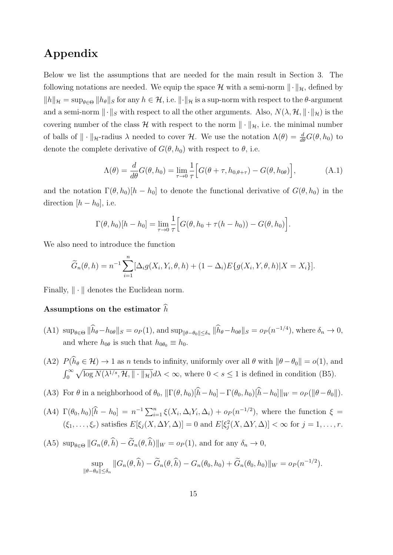## Appendix

Below we list the assumptions that are needed for the main result in Section 3. The following notations are needed. We equip the space H with a semi-norm  $\|\cdot\|_{\mathcal{H}}$ , defined by  $||h||_{\mathcal{H}} = \sup_{\theta \in \Theta} ||h_{\theta}||_{S}$  for any  $h \in \mathcal{H}$ , i.e.  $||\cdot||_{\mathcal{H}}$  is a sup-norm with respect to the  $\theta$ -argument and a semi-norm  $\|\cdot\|_S$  with respect to all the other arguments. Also,  $N(\lambda, \mathcal{H}, \|\cdot\|_{\mathcal{H}})$  is the covering number of the class  $\mathcal H$  with respect to the norm  $\|\cdot\|_{\mathcal H}$ , i.e. the minimal number of balls of  $\|\cdot\|_{\mathcal{H}}$ -radius  $\lambda$  needed to cover  $\mathcal{H}$ . We use the notation  $\Lambda(\theta) = \frac{d}{d\theta}G(\theta, h_0)$  to denote the complete derivative of  $G(\theta, h_0)$  with respect to  $\theta$ , i.e.

$$
\Lambda(\theta) = \frac{d}{d\theta} G(\theta, h_0) = \lim_{\tau \to 0} \frac{1}{\tau} \Big[ G(\theta + \tau, h_{0, \theta + \tau}) - G(\theta, h_{0\theta}) \Big], \tag{A.1}
$$

and the notation  $\Gamma(\theta, h_0)[h - h_0]$  to denote the functional derivative of  $G(\theta, h_0)$  in the direction  $[h - h_0]$ , i.e.

$$
\Gamma(\theta, h_0)[h - h_0] = \lim_{\tau \to 0} \frac{1}{\tau} \Big[ G(\theta, h_0 + \tau(h - h_0)) - G(\theta, h_0) \Big].
$$

We also need to introduce the function

$$
\widetilde{G}_n(\theta, h) = n^{-1} \sum_{i=1}^n [\Delta_i g(X_i, Y_i, \theta, h) + (1 - \Delta_i) E\{g(X_i, Y, \theta, h) | X = X_i\}].
$$

Finally,  $\|\cdot\|$  denotes the Euclidean norm.

#### Assumptions on the estimator  $\hat{h}$

- (A1)  $\sup_{\theta \in \Theta} \|\hat{h}_{\theta} h_{0\theta}\|_{S} = o_P(1)$ , and  $\sup_{\|\theta \theta_0\| \leq \delta_n} \|\hat{h}_{\theta} h_{0\theta}\|_{S} = o_P(n^{-1/4})$ , where  $\delta_n \to 0$ , and where  $h_{0\theta}$  is such that  $h_{0\theta_0} \equiv h_0$ .
- (A2)  $P(\widehat{h}_{\theta} \in \mathcal{H}) \to 1$  as n tends to infinity, uniformly over all  $\theta$  with  $\|\theta \theta_0\| = o(1)$ , and  $\int_0^\infty \sqrt{\log N(\lambda^{1/s}, \mathcal{H}, \|\cdot\|_{\mathcal{H}})} d\lambda < \infty$ , where  $0 < s \leq 1$  is defined in condition (B5).
- (A3) For  $\theta$  in a neighborhood of  $\theta_0$ ,  $\|\Gamma(\theta, h_0)\hat{h} h_0\| \Gamma(\theta_0, h_0)\hat{h} h_0\|_W = o_P(\|\theta \theta_0\|).$
- (A4)  $\Gamma(\theta_0, h_0)[\hat{h} h_0] = n^{-1} \sum_{i=1}^n \xi(X_i, \Delta_i Y_i, \Delta_i) + o_P(n^{-1/2}),$  where the function  $\xi =$  $(\xi_1,\ldots,\xi_r)$  satisfies  $E[\xi_j(X,\Delta Y,\Delta)] = 0$  and  $E[\xi_j^2(X,\Delta Y,\Delta)] < \infty$  for  $j = 1,\ldots,r$ .

(A5) 
$$
\sup_{\theta \in \Theta} ||G_n(\theta, \widehat{h}) - \widetilde{G}_n(\theta, \widehat{h})||_W = o_P(1)
$$
, and for any  $\delta_n \to 0$ ,

$$
\sup_{\|\theta-\theta_0\|\leq\delta_n} \|G_n(\theta,\widehat{h}) - \widetilde{G}_n(\theta,\widehat{h}) - G_n(\theta_0,h_0) + \widetilde{G}_n(\theta_0,h_0)\|_W = o_P(n^{-1/2}).
$$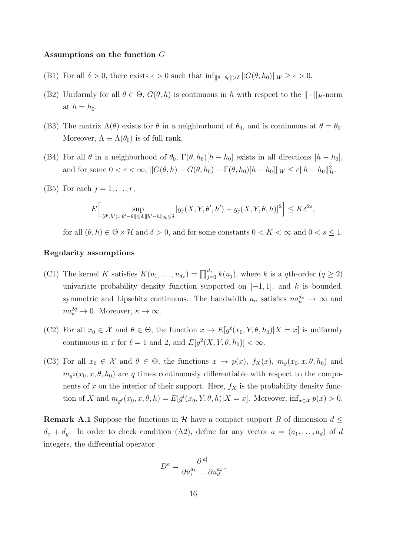#### Assumptions on the function G

- (B1) For all  $\delta > 0$ , there exists  $\epsilon > 0$  such that  $\inf_{\|\theta-\theta_0\|>\delta} ||G(\theta, h_0)||_W \geq \epsilon > 0$ .
- (B2) Uniformly for all  $\theta \in \Theta$ ,  $G(\theta, h)$  is continuous in h with respect to the  $\|\cdot\|_{\mathcal{H}}$ -norm at  $h = h_0$ .
- (B3) The matrix  $\Lambda(\theta)$  exists for  $\theta$  in a neighborhood of  $\theta_0$ , and is continuous at  $\theta = \theta_0$ . Moreover,  $\Lambda \equiv \Lambda(\theta_0)$  is of full rank.
- (B4) For all  $\theta$  in a neighborhood of  $\theta_0$ ,  $\Gamma(\theta, h_0)[h h_0]$  exists in all directions  $[h h_0]$ , and for some  $0 < c < \infty$ ,  $||G(\theta, h) - G(\theta, h_0) - \Gamma(\theta, h_0)||_W \le c||h - h_0||_H^2$ .
- (B5) For each  $j = 1, \ldots, r$ ,

$$
E\Big[\sup_{(\theta',h'):\|\theta'-\theta\|\leq\delta,\|h'-h\|_{\mathcal{H}}\leq\delta}|g_j(X,Y,\theta',h')-g_j(X,Y,\theta,h)|^2\Big]\leq K\delta^{2s},
$$

for all  $(\theta, h) \in \Theta \times \mathcal{H}$  and  $\delta > 0$ , and for some constants  $0 < K < \infty$  and  $0 < s \leq 1$ .

#### Regularity assumptions

- (C1) The kernel K satisfies  $K(u_1, \ldots, u_{d_x}) = \prod_{j=1}^{d_x} k(u_j)$ , where k is a qth-order  $(q \ge 2)$ univariate probability density function supported on  $[-1, 1]$ , and k is bounded, symmetric and Lipschitz continuous. The bandwidth  $a_n$  satisfies  $na_n^{d_x} \to \infty$  and  $na_n^{2q} \to 0$ . Moreover,  $\kappa \to \infty$ .
- (C2) For all  $x_0 \in \mathcal{X}$  and  $\theta \in \Theta$ , the function  $x \to E[g^{\ell}(x_0, Y, \theta, h_0)|X=x]$  is uniformly continuous in x for  $\ell = 1$  and 2, and  $E[g^2(X, Y, \theta, h_0)] < \infty$ .
- (C3) For all  $x_0 \in \mathcal{X}$  and  $\theta \in \Theta$ , the functions  $x \to p(x)$ ,  $f_X(x)$ ,  $m_g(x_0, x, \theta, h_0)$  and  $m_{g^2}(x_0, x, \theta, h_0)$  are q times continuously differentiable with respect to the components of x on the interior of their support. Here,  $f_X$  is the probability density function of X and  $m_{g^{\ell}}(x_0, x, \theta, h) = E[g^l(x_0, Y, \theta, h)|X = x]$ . Moreover,  $\inf_{x \in \mathcal{X}} p(x) > 0$ .

**Remark A.1** Suppose the functions in H have a compact support R of dimension  $d \leq$  $d_x + d_y$ . In order to check condition (A2), define for any vector  $a = (a_1, \ldots, a_d)$  of d integers, the differential operator

$$
D^a = \frac{\partial^{|a|}}{\partial u_1^{a_1} \dots \partial u_d^{a_d}},
$$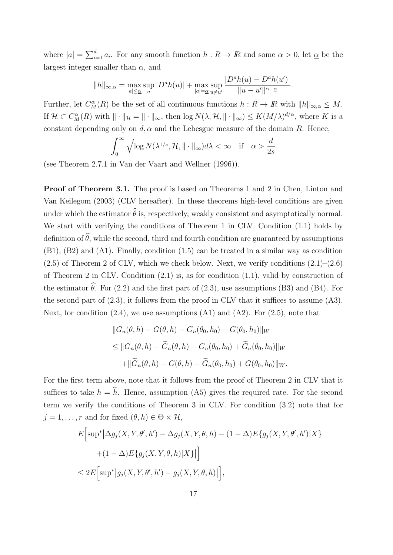where  $|a| = \sum_{i=1}^d a_i$ . For any smooth function  $h: R \to \mathbb{R}$  and some  $\alpha > 0$ , let  $\underline{\alpha}$  be the largest integer smaller than  $\alpha$ , and

$$
||h||_{\infty,\alpha} = \max_{|a| \leq \alpha} \sup_{u} |D^a h(u)| + \max_{|a| = \alpha} \sup_{u \neq u'} \frac{|D^a h(u) - D^a h(u')|}{||u - u'||^{\alpha - \underline{\alpha}}}.
$$

Further, let  $C_M^{\alpha}(R)$  be the set of all continuous functions  $h: R \to \mathbb{R}$  with  $||h||_{\infty,\alpha} \leq M$ . If  $\mathcal{H} \subset C^{\alpha}_M(R)$  with  $\|\cdot\|_{\mathcal{H}} = \|\cdot\|_{\infty}$ , then  $\log N(\lambda, \mathcal{H}, \|\cdot\|_{\infty}) \leq K(M/\lambda)^{d/\alpha}$ , where K is a constant depending only on  $d, \alpha$  and the Lebesgue measure of the domain R. Hence,

$$
\int_0^\infty \sqrt{\log N(\lambda^{1/s}, \mathcal{H}, \| \cdot \|_\infty)} d\lambda < \infty \quad \text{if} \quad \alpha > \frac{d}{2s}
$$

(see Theorem 2.7.1 in Van der Vaart and Wellner (1996)).

Proof of Theorem 3.1. The proof is based on Theorems 1 and 2 in Chen, Linton and Van Keilegom (2003) (CLV hereafter). In these theorems high-level conditions are given under which the estimator  $\widehat{\theta}$  is, respectively, weakly consistent and asymptotically normal. We start with verifying the conditions of Theorem 1 in CLV. Condition (1.1) holds by definition of  $\widehat{\theta}$ , while the second, third and fourth condition are guaranteed by assumptions (B1), (B2) and (A1). Finally, condition (1.5) can be treated in a similar way as condition  $(2.5)$  of Theorem 2 of CLV, which we check below. Next, we verify conditions  $(2.1)$ – $(2.6)$ of Theorem 2 in CLV. Condition (2.1) is, as for condition (1.1), valid by construction of the estimator  $\hat{\theta}$ . For (2.2) and the first part of (2.3), use assumptions (B3) and (B4). For the second part of  $(2.3)$ , it follows from the proof in CLV that it suffices to assume  $(A3)$ . Next, for condition  $(2.4)$ , we use assumptions  $(A1)$  and  $(A2)$ . For  $(2.5)$ , note that

$$
||G_n(\theta, h) - G(\theta, h) - G_n(\theta_0, h_0) + G(\theta_0, h_0)||_W
$$
  
\n
$$
\leq ||G_n(\theta, h) - \widetilde{G}_n(\theta, h) - G_n(\theta_0, h_0) + \widetilde{G}_n(\theta_0, h_0)||_W
$$
  
\n
$$
+ ||\widetilde{G}_n(\theta, h) - G(\theta, h) - \widetilde{G}_n(\theta_0, h_0) + G(\theta_0, h_0)||_W.
$$

For the first term above, note that it follows from the proof of Theorem 2 in CLV that it suffices to take  $h = \hat{h}$ . Hence, assumption (A5) gives the required rate. For the second term we verify the conditions of Theorem 3 in CLV. For condition (3.2) note that for  $j = 1, \ldots, r$  and for fixed  $(\theta, h) \in \Theta \times \mathcal{H}$ ,

$$
E\Big[\sup^* \Big|\Delta g_j(X, Y, \theta', h') - \Delta g_j(X, Y, \theta, h) - (1 - \Delta)E\{g_j(X, Y, \theta', h')|X\}
$$
  
+ 
$$
(1 - \Delta)E\{g_j(X, Y, \theta, h)|X\}\Big|\Big]
$$
  

$$
\leq 2E\Big[\sup^* \Big|g_j(X, Y, \theta', h') - g_j(X, Y, \theta, h)\Big|\Big],
$$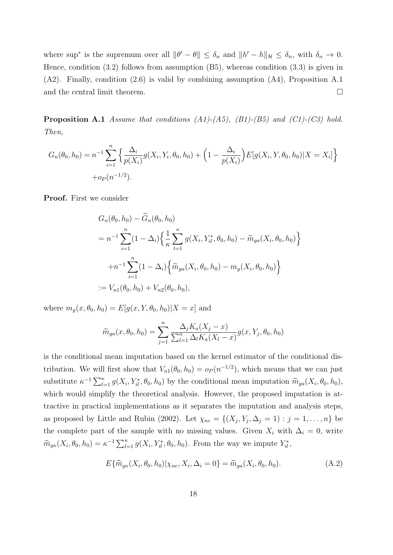where sup<sup>\*</sup> is the supremum over all  $\|\theta' - \theta\| \leq \delta_n$  and  $\|h' - h\|_{\mathcal{H}} \leq \delta_n$ , with  $\delta_n \to 0$ . Hence, condition (3.2) follows from assumption (B5), whereas condition (3.3) is given in (A2). Finally, condition (2.6) is valid by combining assumption (A4), Proposition A.1 and the central limit theorem.  $\Box$ 

**Proposition A.1** Assume that conditions  $(A1)-(A5)$ ,  $(B1)-(B5)$  and  $(C1)-(C3)$  hold. Then,

$$
G_n(\theta_0, h_0) = n^{-1} \sum_{i=1}^n \left\{ \frac{\Delta_i}{p(X_i)} g(X_i, Y_i, \theta_0, h_0) + \left( 1 - \frac{\Delta_i}{p(X_i)} \right) E[g(X_i, Y, \theta_0, h_0) | X = X_i] \right\}
$$
  
+  $o_P(n^{-1/2}).$ 

Proof. First we consider

$$
G_n(\theta_0, h_0) - \tilde{G}_n(\theta_0, h_0)
$$
  
=  $n^{-1} \sum_{i=1}^n (1 - \Delta_i) \left\{ \frac{1}{\kappa} \sum_{l=1}^\kappa g(X_i, Y_{il}^*, \theta_0, h_0) - \tilde{m}_{ga}(X_i, \theta_0, h_0) \right\}$   
+  $n^{-1} \sum_{i=1}^n (1 - \Delta_i) \left\{ \tilde{m}_{ga}(X_i, \theta_0, h_0) - m_g(X_i, \theta_0, h_0) \right\}$   
:=  $V_{n1}(\theta_0, h_0) + V_{n2}(\theta_0, h_0),$ 

where  $m_g(x, \theta_0, h_0) = E[g(x, Y, \theta_0, h_0)|X = x]$  and

$$
\widetilde{m}_{ga}(x,\theta_0,h_0) = \sum_{j=1}^n \frac{\Delta_j K_a(X_j - x)}{\sum_{l=1}^n \Delta_l K_a(X_l - x)} g(x, Y_j, \theta_0, h_0)
$$

is the conditional mean imputation based on the kernel estimator of the conditional distribution. We will first show that  $V_{n1}(\theta_0, h_0) = o_P(n^{-1/2})$ , which means that we can just substitute  $\kappa^{-1} \sum_{l=1}^{\kappa} g(X_i, Y_{il}^*, \theta_0, h_0)$  by the conditional mean imputation  $\widetilde{m}_{ga}(X_i, \theta_0, h_0)$ , which would simplify the theoretical analysis. However, the proposed imputation is attractive in practical implementations as it separates the imputation and analysis steps, as proposed by Little and Rubin (2002). Let  $\chi_{nc} = \{(X_j, Y_j, \Delta_j = 1) : j = 1, \ldots, n\}$  be the complete part of the sample with no missing values. Given  $X_i$  with  $\Delta_i = 0$ , write  $\widehat{m}_{g\kappa}(X_i, \theta_0, h_0) = \kappa^{-1} \sum_{l=1}^{\kappa} g(X_i, Y_{il}^*, \theta_0, h_0)$ . From the way we impute  $Y_{il}^*$ ,

$$
E\{\hat{m}_{g\kappa}(X_i, \theta_0, h_0)|\chi_{nc}, X_i, \Delta_i = 0\} = \tilde{m}_{ga}(X_i, \theta_0, h_0).
$$
 (A.2)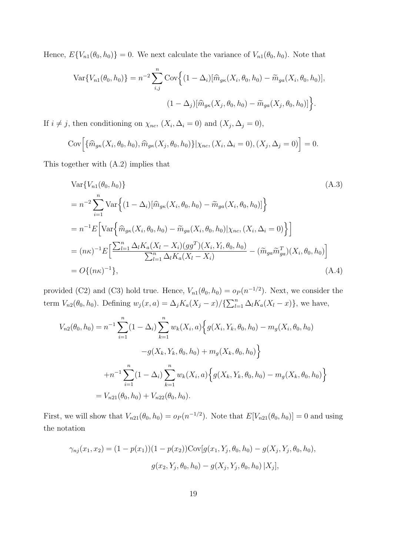Hence,  $E\{V_{n1}(\theta_0, h_0)\} = 0$ . We next calculate the variance of  $V_{n1}(\theta_0, h_0)$ . Note that

$$
\operatorname{Var}\{V_{n1}(\theta_0, h_0)\} = n^{-2} \sum_{i,j}^{n} \operatorname{Cov}\Big\{ (1 - \Delta_i) [\widehat{m}_{g\kappa}(X_i, \theta_0, h_0) - \widetilde{m}_{g a}(X_i, \theta_0, h_0)],
$$

$$
(1 - \Delta_j) [\widehat{m}_{g\kappa}(X_j, \theta_0, h_0) - \widetilde{m}_{g a}(X_j, \theta_0, h_0)] \Big\}.
$$

If  $i \neq j$ , then conditioning on  $\chi_{nc}$ ,  $(X_i, \Delta_i = 0)$  and  $(X_j, \Delta_j = 0)$ ,

$$
Cov\Big[\{\widehat{m}_{g\kappa}(X_i,\theta_0,h_0),\widehat{m}_{g\kappa}(X_j,\theta_0,h_0)\}\big|\chi_{nc},(X_i,\Delta_i=0),(X_j,\Delta_j=0)\Big] = 0.
$$

This together with (A.2) implies that

$$
\begin{split}\n\text{Var}\{V_{n1}(\theta_{0}, h_{0})\} \\
&= n^{-2} \sum_{i=1}^{n} \text{Var}\Big\{ (1 - \Delta_{i}) [\widehat{m}_{g\kappa}(X_{i}, \theta_{0}, h_{0}) - \widetilde{m}_{g a}(X_{i}, \theta_{0}, h_{0})] \Big\} \\
&= n^{-1} E \Big[ \text{Var}\Big\{ \widehat{m}_{g\kappa}(X_{i}, \theta_{0}, h_{0}) - \widetilde{m}_{g a}(X_{i}, \theta_{0}, h_{0}) | \chi_{nc}, (X_{i}, \Delta_{i} = 0) \Big\} \Big] \\
&= (n\kappa)^{-1} E \Big[ \frac{\sum_{l=1}^{n} \Delta_{l} K_{a}(X_{l} - X_{i}) (gg^{T})(X_{i}, Y_{l}, \theta_{0}, h_{0})}{\sum_{l=1}^{n} \Delta_{l} K_{a}(X_{l} - X_{i})} - (\widetilde{m}_{g a} \widetilde{m}_{g a}^{T})(X_{i}, \theta_{0}, h_{0}) \Big] \\
&= O\{(n\kappa)^{-1}\},\n\end{split} \tag{A.4}
$$

provided (C2) and (C3) hold true. Hence,  $V_{n1}(\theta_0, h_0) = o_P(n^{-1/2})$ . Next, we consider the term  $V_{n2}(\theta_0, h_0)$ . Defining  $w_j(x, a) = \Delta_j K_a(X_j - x) / {\sum_{l=1}^n \Delta_l K_a(X_l - x)}$ , we have,

$$
V_{n2}(\theta_0, h_0) = n^{-1} \sum_{i=1}^n (1 - \Delta_i) \sum_{k=1}^n w_k(X_i, a) \Big\{ g(X_i, Y_k, \theta_0, h_0) - m_g(X_i, \theta_0, h_0) - g(X_k, Y_k, \theta_0, h_0) + m_g(X_k, \theta_0, h_0) \Big\}
$$
  
+ 
$$
n^{-1} \sum_{i=1}^n (1 - \Delta_i) \sum_{k=1}^n w_k(X_i, a) \Big\{ g(X_k, Y_k, \theta_0, h_0) - m_g(X_k, \theta_0, h_0) \Big\}
$$
  
= 
$$
V_{n21}(\theta_0, h_0) + V_{n22}(\theta_0, h_0).
$$

First, we will show that  $V_{n21}(\theta_0, h_0) = o_P(n^{-1/2})$ . Note that  $E[V_{n21}(\theta_0, h_0)] = 0$  and using the notation

$$
\gamma_{nj}(x_1, x_2) = (1 - p(x_1))(1 - p(x_2)) \text{Cov}[g(x_1, Y_j, \theta_0, h_0) - g(X_j, Y_j, \theta_0, h_0),
$$
  

$$
g(x_2, Y_j, \theta_0, h_0) - g(X_j, Y_j, \theta_0, h_0) |X_j|,
$$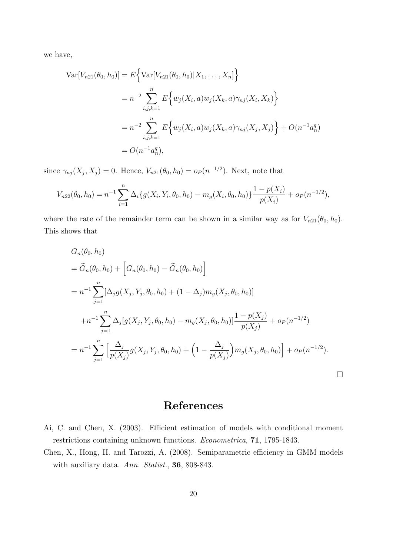we have,

$$
\begin{aligned} \text{Var}[V_{n21}(\theta_0, h_0)] &= E\Big\{\text{Var}[V_{n21}(\theta_0, h_0)|X_1, \dots, X_n]\Big\} \\ &= n^{-2} \sum_{i,j,k=1}^n E\Big\{w_j(X_i, a)w_j(X_k, a)\gamma_{nj}(X_i, X_k)\Big\} \\ &= n^{-2} \sum_{i,j,k=1}^n E\Big\{w_j(X_i, a)w_j(X_k, a)\gamma_{nj}(X_j, X_j)\Big\} + O(n^{-1}a_n^q) \\ &= O(n^{-1}a_n^q), \end{aligned}
$$

since  $\gamma_{nj}(X_j, X_j) = 0$ . Hence,  $V_{n21}(\theta_0, h_0) = o_P(n^{-1/2})$ . Next, note that

$$
V_{n22}(\theta_0, h_0) = n^{-1} \sum_{i=1}^n \Delta_i \{ g(X_i, Y_i, \theta_0, h_0) - m_g(X_i, \theta_0, h_0) \} \frac{1 - p(X_i)}{p(X_i)} + o_P(n^{-1/2}),
$$

where the rate of the remainder term can be shown in a similar way as for  $V_{n21}(\theta_0, h_0)$ . This shows that

$$
G_n(\theta_0, h_0)
$$
  
=  $\widetilde{G}_n(\theta_0, h_0) + [G_n(\theta_0, h_0) - \widetilde{G}_n(\theta_0, h_0)]$   
=  $n^{-1} \sum_{j=1}^n [\Delta_j g(X_j, Y_j, \theta_0, h_0) + (1 - \Delta_j) m_g(X_j, \theta_0, h_0)]$   
+  $n^{-1} \sum_{j=1}^n \Delta_j [g(X_j, Y_j, \theta_0, h_0) - m_g(X_j, \theta_0, h_0)] \frac{1 - p(X_j)}{p(X_j)} + o_P(n^{-1/2})$   
=  $n^{-1} \sum_{j=1}^n \left[ \frac{\Delta_j}{p(X_j)} g(X_j, Y_j, \theta_0, h_0) + \left(1 - \frac{\Delta_j}{p(X_j)}\right) m_g(X_j, \theta_0, h_0)\right] + o_P(n^{-1/2}).$ 

# References

- Ai, C. and Chen, X. (2003). Efficient estimation of models with conditional moment restrictions containing unknown functions. Econometrica, 71, 1795-1843.
- Chen, X., Hong, H. and Tarozzi, A. (2008). Semiparametric efficiency in GMM models with auxiliary data. Ann. Statist., 36, 808-843.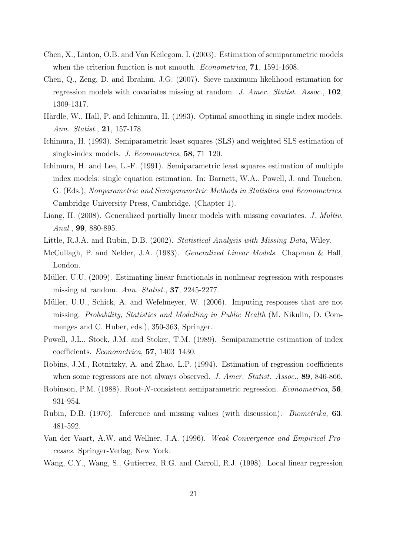- Chen, X., Linton, O.B. and Van Keilegom, I. (2003). Estimation of semiparametric models when the criterion function is not smooth. *Econometrica*, **71**, 1591-1608.
- Chen, Q., Zeng, D. and Ibrahim, J.G. (2007). Sieve maximum likelihood estimation for regression models with covariates missing at random. J. Amer. Statist. Assoc., 102, 1309-1317.
- Härdle, W., Hall, P. and Ichimura, H. (1993). Optimal smoothing in single-index models. Ann. Statist., 21, 157-178.
- Ichimura, H. (1993). Semiparametric least squares (SLS) and weighted SLS estimation of single-index models. J. Econometrics, 58, 71–120.
- Ichimura, H. and Lee, L.-F. (1991). Semiparametric least squares estimation of multiple index models: single equation estimation. In: Barnett, W.A., Powell, J. and Tauchen, G. (Eds.), Nonparametric and Semiparametric Methods in Statistics and Econometrics. Cambridge University Press, Cambridge. (Chapter 1).
- Liang, H. (2008). Generalized partially linear models with missing covariates. J. Multiv. Anal., 99, 880-895.
- Little, R.J.A. and Rubin, D.B. (2002). Statistical Analysis with Missing Data, Wiley.
- McCullagh, P. and Nelder, J.A. (1983). Generalized Linear Models. Chapman & Hall, London.
- Müller, U.U. (2009). Estimating linear functionals in nonlinear regression with responses missing at random. Ann. Statist., 37, 2245-2277.
- Müller, U.U., Schick, A. and Wefelmeyer, W. (2006). Imputing responses that are not missing. Probability, Statistics and Modelling in Public Health (M. Nikulin, D. Commenges and C. Huber, eds.), 350-363, Springer.
- Powell, J.L., Stock, J.M. and Stoker, T.M. (1989). Semiparametric estimation of index coefficients. Econometrica, 57, 1403–1430.
- Robins, J.M., Rotnitzky, A. and Zhao, L.P. (1994). Estimation of regression coefficients when some regressors are not always observed. J. Amer. Statist. Assoc., 89, 846-866.
- Robinson, P.M. (1988). Root-N-consistent semiparametric regression. Econometrica, 56, 931-954.
- Rubin, D.B. (1976). Inference and missing values (with discussion). Biometrika, 63, 481-592.
- Van der Vaart, A.W. and Wellner, J.A. (1996). Weak Convergence and Empirical Processes. Springer-Verlag, New York.
- Wang, C.Y., Wang, S., Gutierrez, R.G. and Carroll, R.J. (1998). Local linear regression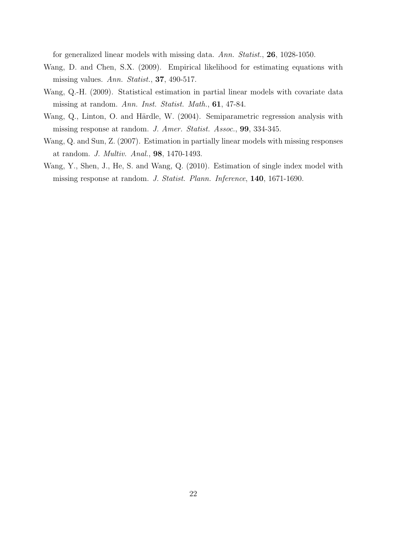for generalized linear models with missing data. Ann. Statist., 26, 1028-1050.

- Wang, D. and Chen, S.X. (2009). Empirical likelihood for estimating equations with missing values. Ann. Statist., 37, 490-517.
- Wang, Q.-H. (2009). Statistical estimation in partial linear models with covariate data missing at random. Ann. Inst. Statist. Math., 61, 47-84.
- Wang, Q., Linton, O. and Härdle, W. (2004). Semiparametric regression analysis with missing response at random. J. Amer. Statist. Assoc., 99, 334-345.
- Wang, Q. and Sun, Z. (2007). Estimation in partially linear models with missing responses at random. J. Multiv. Anal., 98, 1470-1493.
- Wang, Y., Shen, J., He, S. and Wang, Q. (2010). Estimation of single index model with missing response at random. J. Statist. Plann. Inference, 140, 1671-1690.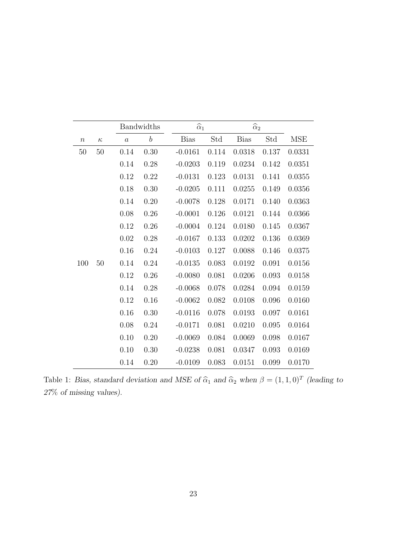|        |          | Bandwidths       |                  | $\widehat{\alpha}_1$ |       | $\widehat{\alpha}_2$ |       |            |
|--------|----------|------------------|------------------|----------------------|-------|----------------------|-------|------------|
| $\, n$ | $\kappa$ | $\boldsymbol{a}$ | $\boldsymbol{b}$ | <b>Bias</b>          | Std   | <b>Bias</b>          | Std   | <b>MSE</b> |
| $50\,$ | $50\,$   | 0.14             | 0.30             | $-0.0161$            | 0.114 | 0.0318               | 0.137 | 0.0331     |
|        |          | 0.14             | 0.28             | $-0.0203$            | 0.119 | 0.0234               | 0.142 | 0.0351     |
|        |          | 0.12             | 0.22             | $-0.0131$            | 0.123 | 0.0131               | 0.141 | 0.0355     |
|        |          | 0.18             | 0.30             | $-0.0205$            | 0.111 | 0.0255               | 0.149 | 0.0356     |
|        |          | 0.14             | 0.20             | $-0.0078$            | 0.128 | 0.0171               | 0.140 | 0.0363     |
|        |          | 0.08             | 0.26             | $-0.0001$            | 0.126 | 0.0121               | 0.144 | 0.0366     |
|        |          | 0.12             | 0.26             | $-0.0004$            | 0.124 | 0.0180               | 0.145 | 0.0367     |
|        |          | 0.02             | 0.28             | $-0.0167$            | 0.133 | 0.0202               | 0.136 | 0.0369     |
|        |          | 0.16             | 0.24             | $-0.0103$            | 0.127 | 0.0088               | 0.146 | 0.0375     |
| 100    | 50       | 0.14             | 0.24             | $-0.0135$            | 0.083 | 0.0192               | 0.091 | 0.0156     |
|        |          | 0.12             | 0.26             | $-0.0080$            | 0.081 | 0.0206               | 0.093 | 0.0158     |
|        |          | 0.14             | 0.28             | $-0.0068$            | 0.078 | 0.0284               | 0.094 | 0.0159     |
|        |          | 0.12             | 0.16             | $-0.0062$            | 0.082 | 0.0108               | 0.096 | 0.0160     |
|        |          | 0.16             | 0.30             | $-0.0116$            | 0.078 | 0.0193               | 0.097 | 0.0161     |
|        |          | 0.08             | 0.24             | $-0.0171$            | 0.081 | 0.0210               | 0.095 | 0.0164     |
|        |          | 0.10             | 0.20             | $-0.0069$            | 0.084 | 0.0069               | 0.098 | 0.0167     |
|        |          | 0.10             | 0.30             | $-0.0238$            | 0.081 | 0.0347               | 0.093 | 0.0169     |
|        |          | 0.14             | 0.20             | $-0.0109$            | 0.083 | 0.0151               | 0.099 | 0.0170     |

Table 1: Bias, standard deviation and MSE of  $\hat{\alpha}_1$  and  $\hat{\alpha}_2$  when  $\beta = (1, 1, 0)^T$  (leading to 27% of missing values).